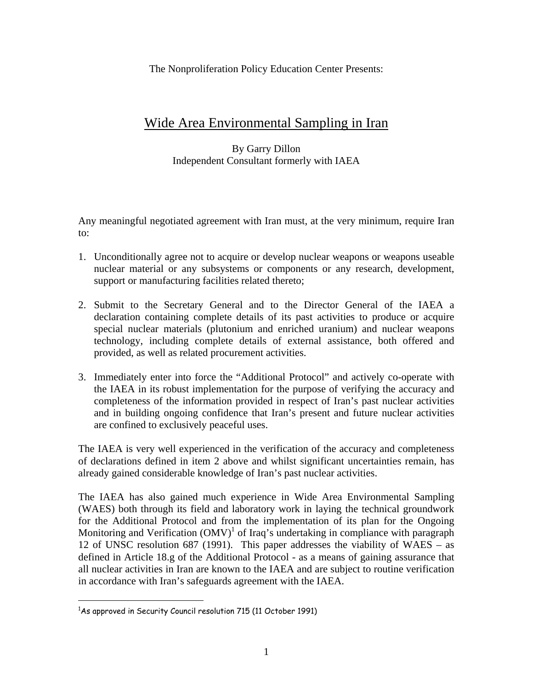The Nonproliferation Policy Education Center Presents:

## Wide Area Environmental Sampling in Iran

#### By Garry Dillon Independent Consultant formerly with IAEA

Any meaningful negotiated agreement with Iran must, at the very minimum, require Iran to:

- 1. Unconditionally agree not to acquire or develop nuclear weapons or weapons useable nuclear material or any subsystems or components or any research, development, support or manufacturing facilities related thereto;
- 2. Submit to the Secretary General and to the Director General of the IAEA a declaration containing complete details of its past activities to produce or acquire special nuclear materials (plutonium and enriched uranium) and nuclear weapons technology, including complete details of external assistance, both offered and provided, as well as related procurement activities.
- 3. Immediately enter into force the "Additional Protocol" and actively co-operate with the IAEA in its robust implementation for the purpose of verifying the accuracy and completeness of the information provided in respect of Iran's past nuclear activities and in building ongoing confidence that Iran's present and future nuclear activities are confined to exclusively peaceful uses.

The IAEA is very well experienced in the verification of the accuracy and completeness of declarations defined in item 2 above and whilst significant uncertainties remain, has already gained considerable knowledge of Iran's past nuclear activities.

The IAEA has also gained much experience in Wide Area Environmental Sampling (WAES) both through its field and laboratory work in laying the technical groundwork for the Additional Protocol and from the implementation of its plan for the Ongoing Monitoring and Verification  $(OMV)^1$  of Iraq's undertaking in compliance with paragraph 12 of UNSC resolution 687 (1991). This paper addresses the viability of WAES – as defined in Article 18.g of the Additional Protocol - as a means of gaining assurance that all nuclear activities in Iran are known to the IAEA and are subject to routine verification in accordance with Iran's safeguards agreement with the IAEA.

 $\overline{a}$  $14s$  approved in Security Council resolution 715 (11 October 1991)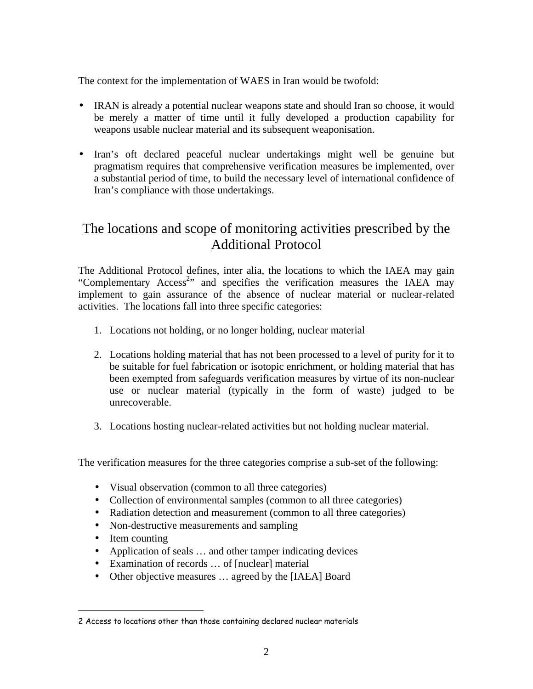The context for the implementation of WAES in Iran would be twofold:

- IRAN is already a potential nuclear weapons state and should Iran so choose, it would be merely a matter of time until it fully developed a production capability for weapons usable nuclear material and its subsequent weaponisation.
- Iran's oft declared peaceful nuclear undertakings might well be genuine but pragmatism requires that comprehensive verification measures be implemented, over a substantial period of time, to build the necessary level of international confidence of Iran's compliance with those undertakings.

# The locations and scope of monitoring activities prescribed by the Additional Protocol

The Additional Protocol defines, inter alia, the locations to which the IAEA may gain "Complementary Access<sup>2</sup>" and specifies the verification measures the IAEA may implement to gain assurance of the absence of nuclear material or nuclear-related activities. The locations fall into three specific categories:

- 1. Locations not holding, or no longer holding, nuclear material
- 2. Locations holding material that has not been processed to a level of purity for it to be suitable for fuel fabrication or isotopic enrichment, or holding material that has been exempted from safeguards verification measures by virtue of its non-nuclear use or nuclear material (typically in the form of waste) judged to be unrecoverable.
- 3. Locations hosting nuclear-related activities but not holding nuclear material.

The verification measures for the three categories comprise a sub-set of the following:

- Visual observation (common to all three categories)
- Collection of environmental samples (common to all three categories)
- Radiation detection and measurement (common to all three categories)
- Non-destructive measurements and sampling
- Item counting

 $\overline{a}$ 

- Application of seals ... and other tamper indicating devices
- Examination of records ... of [nuclear] material
- Other objective measures ... agreed by the [IAEA] Board

<sup>2</sup> Access to locations other than those containing declared nuclear materials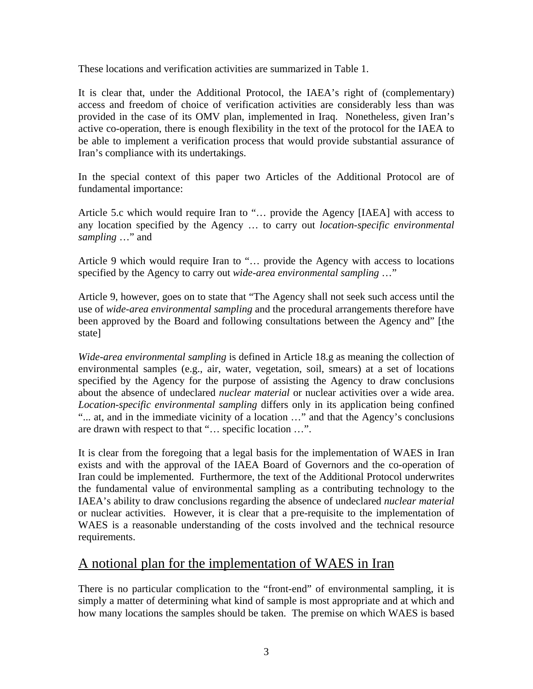These locations and verification activities are summarized in Table 1.

It is clear that, under the Additional Protocol, the IAEA's right of (complementary) access and freedom of choice of verification activities are considerably less than was provided in the case of its OMV plan, implemented in Iraq. Nonetheless, given Iran's active co-operation, there is enough flexibility in the text of the protocol for the IAEA to be able to implement a verification process that would provide substantial assurance of Iran's compliance with its undertakings.

In the special context of this paper two Articles of the Additional Protocol are of fundamental importance:

Article 5.c which would require Iran to "… provide the Agency [IAEA] with access to any location specified by the Agency … to carry out *location-specific environmental sampling* …" and

Article 9 which would require Iran to "… provide the Agency with access to locations specified by the Agency to carry out *wide-area environmental sampling* …"

Article 9, however, goes on to state that "The Agency shall not seek such access until the use of *wide-area environmental sampling* and the procedural arrangements therefore have been approved by the Board and following consultations between the Agency and" [the state]

*Wide-area environmental sampling* is defined in Article 18.g as meaning the collection of environmental samples (e.g., air, water, vegetation, soil, smears) at a set of locations specified by the Agency for the purpose of assisting the Agency to draw conclusions about the absence of undeclared *nuclear material* or nuclear activities over a wide area. *Location-specific environmental sampling* differs only in its application being confined "... at, and in the immediate vicinity of a location …" and that the Agency's conclusions are drawn with respect to that "… specific location …".

It is clear from the foregoing that a legal basis for the implementation of WAES in Iran exists and with the approval of the IAEA Board of Governors and the co-operation of Iran could be implemented. Furthermore, the text of the Additional Protocol underwrites the fundamental value of environmental sampling as a contributing technology to the IAEA's ability to draw conclusions regarding the absence of undeclared *nuclear material* or nuclear activities. However, it is clear that a pre-requisite to the implementation of WAES is a reasonable understanding of the costs involved and the technical resource requirements.

### A notional plan for the implementation of WAES in Iran

There is no particular complication to the "front-end" of environmental sampling, it is simply a matter of determining what kind of sample is most appropriate and at which and how many locations the samples should be taken. The premise on which WAES is based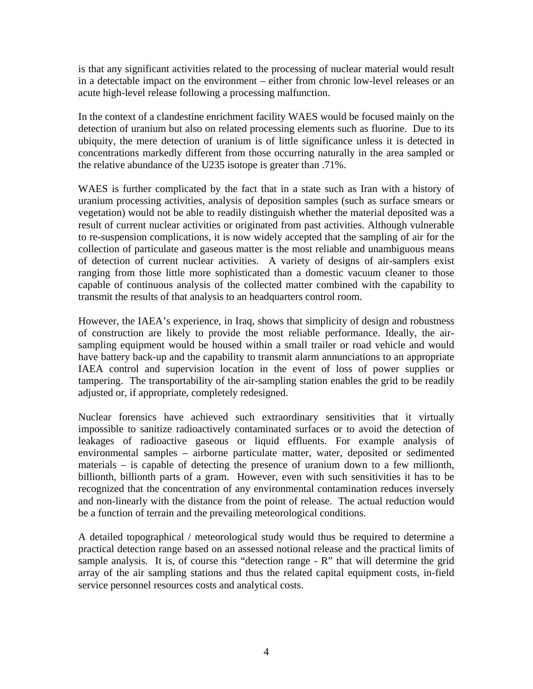is that any significant activities related to the processing of nuclear material would result in a detectable impact on the environment – either from chronic low-level releases or an acute high-level release following a processing malfunction.

In the context of a clandestine enrichment facility WAES would be focused mainly on the detection of uranium but also on related processing elements such as fluorine. Due to its ubiquity, the mere detection of uranium is of little significance unless it is detected in concentrations markedly different from those occurring naturally in the area sampled or the relative abundance of the U235 isotope is greater than .71%.

WAES is further complicated by the fact that in a state such as Iran with a history of uranium processing activities, analysis of deposition samples (such as surface smears or vegetation) would not be able to readily distinguish whether the material deposited was a result of current nuclear activities or originated from past activities. Although vulnerable to re-suspension complications, it is now widely accepted that the sampling of air for the collection of particulate and gaseous matter is the most reliable and unambiguous means of detection of current nuclear activities. A variety of designs of air-samplers exist ranging from those little more sophisticated than a domestic vacuum cleaner to those capable of continuous analysis of the collected matter combined with the capability to transmit the results of that analysis to an headquarters control room.

However, the IAEA's experience, in Iraq, shows that simplicity of design and robustness of construction are likely to provide the most reliable performance. Ideally, the airsampling equipment would be housed within a small trailer or road vehicle and would have battery back-up and the capability to transmit alarm annunciations to an appropriate IAEA control and supervision location in the event of loss of power supplies or tampering. The transportability of the air-sampling station enables the grid to be readily adjusted or, if appropriate, completely redesigned.

Nuclear forensics have achieved such extraordinary sensitivities that it virtually impossible to sanitize radioactively contaminated surfaces or to avoid the detection of leakages of radioactive gaseous or liquid effluents. For example analysis of environmental samples – airborne particulate matter, water, deposited or sedimented materials – is capable of detecting the presence of uranium down to a few millionth, billionth, billionth parts of a gram. However, even with such sensitivities it has to be recognized that the concentration of any environmental contamination reduces inversely and non-linearly with the distance from the point of release. The actual reduction would be a function of terrain and the prevailing meteorological conditions.

A detailed topographical / meteorological study would thus be required to determine a practical detection range based on an assessed notional release and the practical limits of sample analysis. It is, of course this "detection range - R" that will determine the grid array of the air sampling stations and thus the related capital equipment costs, in-field service personnel resources costs and analytical costs.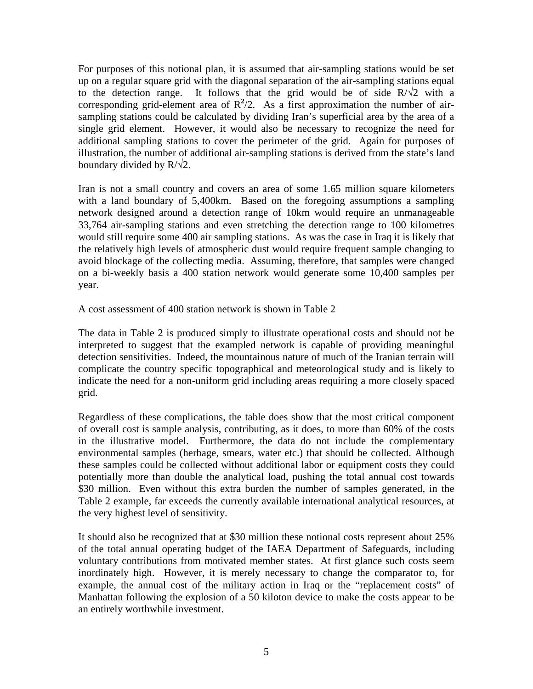For purposes of this notional plan, it is assumed that air-sampling stations would be set up on a regular square grid with the diagonal separation of the air-sampling stations equal to the detection range. It follows that the grid would be of side  $R/\sqrt{2}$  with a corresponding grid-element area of  $R^2/2$ . As a first approximation the number of airsampling stations could be calculated by dividing Iran's superficial area by the area of a single grid element. However, it would also be necessary to recognize the need for additional sampling stations to cover the perimeter of the grid. Again for purposes of illustration, the number of additional air-sampling stations is derived from the state's land boundary divided by  $R/\sqrt{2}$ .

Iran is not a small country and covers an area of some 1.65 million square kilometers with a land boundary of 5,400km. Based on the foregoing assumptions a sampling network designed around a detection range of 10km would require an unmanageable 33,764 air-sampling stations and even stretching the detection range to 100 kilometres would still require some 400 air sampling stations. As was the case in Iraq it is likely that the relatively high levels of atmospheric dust would require frequent sample changing to avoid blockage of the collecting media. Assuming, therefore, that samples were changed on a bi-weekly basis a 400 station network would generate some 10,400 samples per year.

A cost assessment of 400 station network is shown in Table 2

The data in Table 2 is produced simply to illustrate operational costs and should not be interpreted to suggest that the exampled network is capable of providing meaningful detection sensitivities. Indeed, the mountainous nature of much of the Iranian terrain will complicate the country specific topographical and meteorological study and is likely to indicate the need for a non-uniform grid including areas requiring a more closely spaced grid.

Regardless of these complications, the table does show that the most critical component of overall cost is sample analysis, contributing, as it does, to more than 60% of the costs in the illustrative model. Furthermore, the data do not include the complementary environmental samples (herbage, smears, water etc.) that should be collected. Although these samples could be collected without additional labor or equipment costs they could potentially more than double the analytical load, pushing the total annual cost towards \$30 million. Even without this extra burden the number of samples generated, in the Table 2 example, far exceeds the currently available international analytical resources, at the very highest level of sensitivity.

It should also be recognized that at \$30 million these notional costs represent about 25% of the total annual operating budget of the IAEA Department of Safeguards, including voluntary contributions from motivated member states. At first glance such costs seem inordinately high. However, it is merely necessary to change the comparator to, for example, the annual cost of the military action in Iraq or the "replacement costs" of Manhattan following the explosion of a 50 kiloton device to make the costs appear to be an entirely worthwhile investment.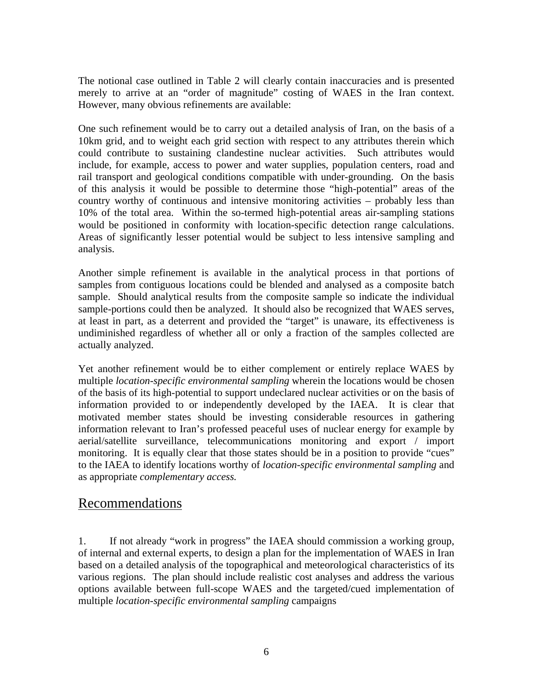The notional case outlined in Table 2 will clearly contain inaccuracies and is presented merely to arrive at an "order of magnitude" costing of WAES in the Iran context. However, many obvious refinements are available:

One such refinement would be to carry out a detailed analysis of Iran, on the basis of a 10km grid, and to weight each grid section with respect to any attributes therein which could contribute to sustaining clandestine nuclear activities. Such attributes would include, for example, access to power and water supplies, population centers, road and rail transport and geological conditions compatible with under-grounding. On the basis of this analysis it would be possible to determine those "high-potential" areas of the country worthy of continuous and intensive monitoring activities – probably less than 10% of the total area. Within the so-termed high-potential areas air-sampling stations would be positioned in conformity with location-specific detection range calculations. Areas of significantly lesser potential would be subject to less intensive sampling and analysis.

Another simple refinement is available in the analytical process in that portions of samples from contiguous locations could be blended and analysed as a composite batch sample. Should analytical results from the composite sample so indicate the individual sample-portions could then be analyzed. It should also be recognized that WAES serves, at least in part, as a deterrent and provided the "target" is unaware, its effectiveness is undiminished regardless of whether all or only a fraction of the samples collected are actually analyzed.

Yet another refinement would be to either complement or entirely replace WAES by multiple *location-specific environmental sampling* wherein the locations would be chosen of the basis of its high-potential to support undeclared nuclear activities or on the basis of information provided to or independently developed by the IAEA. It is clear that motivated member states should be investing considerable resources in gathering information relevant to Iran's professed peaceful uses of nuclear energy for example by aerial/satellite surveillance, telecommunications monitoring and export / import monitoring. It is equally clear that those states should be in a position to provide "cues" to the IAEA to identify locations worthy of *location-specific environmental sampling* and as appropriate *complementary access.*

### Recommendations

1. If not already "work in progress" the IAEA should commission a working group, of internal and external experts, to design a plan for the implementation of WAES in Iran based on a detailed analysis of the topographical and meteorological characteristics of its various regions. The plan should include realistic cost analyses and address the various options available between full-scope WAES and the targeted/cued implementation of multiple *location-specific environmental sampling* campaigns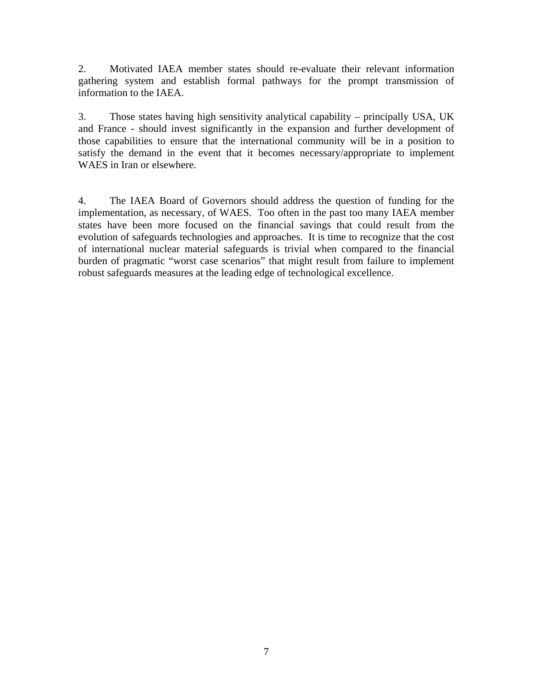2. Motivated IAEA member states should re-evaluate their relevant information gathering system and establish formal pathways for the prompt transmission of information to the IAEA.

3. Those states having high sensitivity analytical capability – principally USA, UK and France - should invest significantly in the expansion and further development of those capabilities to ensure that the international community will be in a position to satisfy the demand in the event that it becomes necessary/appropriate to implement WAES in Iran or elsewhere.

4. The IAEA Board of Governors should address the question of funding for the implementation, as necessary, of WAES. Too often in the past too many IAEA member states have been more focused on the financial savings that could result from the evolution of safeguards technologies and approaches. It is time to recognize that the cost of international nuclear material safeguards is trivial when compared to the financial burden of pragmatic "worst case scenarios" that might result from failure to implement robust safeguards measures at the leading edge of technological excellence.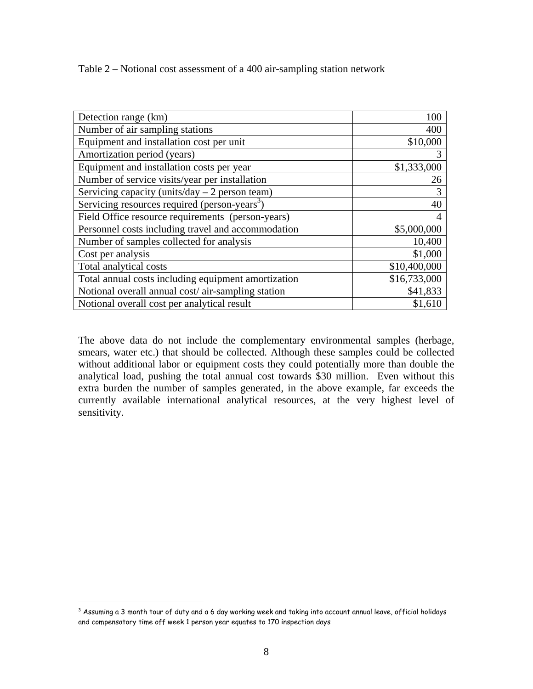Table 2 – Notional cost assessment of a 400 air-sampling station network

| Detection range (km)                                      | 100          |
|-----------------------------------------------------------|--------------|
| Number of air sampling stations                           | 400          |
| Equipment and installation cost per unit                  | \$10,000     |
| Amortization period (years)                               |              |
| Equipment and installation costs per year                 | \$1,333,000  |
| Number of service visits/year per installation            | 26           |
| Servicing capacity (units/day $-2$ person team)           | 3            |
| Servicing resources required (person-years <sup>3</sup> ) | 40           |
| Field Office resource requirements (person-years)         |              |
| Personnel costs including travel and accommodation        | \$5,000,000  |
| Number of samples collected for analysis                  | 10,400       |
| Cost per analysis                                         | \$1,000      |
| Total analytical costs                                    | \$10,400,000 |
| Total annual costs including equipment amortization       | \$16,733,000 |
| Notional overall annual cost/air-sampling station         | \$41,833     |
| Notional overall cost per analytical result               | \$1,610      |

The above data do not include the complementary environmental samples (herbage, smears, water etc.) that should be collected. Although these samples could be collected without additional labor or equipment costs they could potentially more than double the analytical load, pushing the total annual cost towards \$30 million. Even without this extra burden the number of samples generated, in the above example, far exceeds the currently available international analytical resources, at the very highest level of sensitivity.

 $\overline{a}$ 

 $^3$  Assuming a 3 month tour of duty and a 6 day working week and taking into account annual leave, official holidays and compensatory time off week 1 person year equates to 170 inspection days